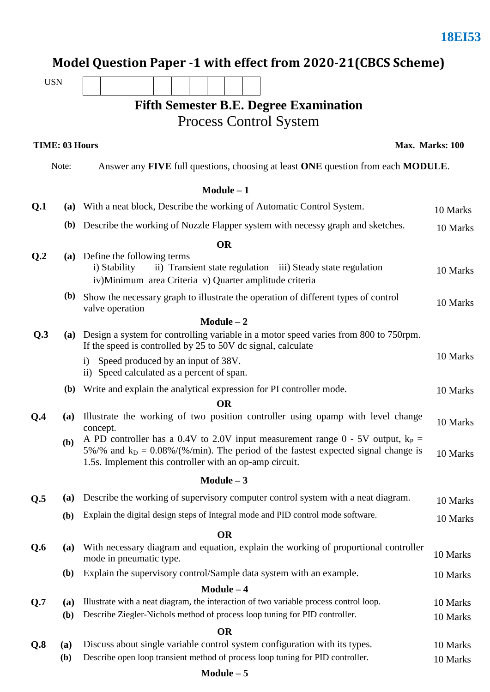|                |                                                                                           | Model Question Paper -1 with effect from 2020-21 (CBCS Scheme)                                                                                                                                                                         |                      |  |  |  |  |
|----------------|-------------------------------------------------------------------------------------------|----------------------------------------------------------------------------------------------------------------------------------------------------------------------------------------------------------------------------------------|----------------------|--|--|--|--|
| <b>USN</b>     |                                                                                           |                                                                                                                                                                                                                                        |                      |  |  |  |  |
|                |                                                                                           | <b>Fifth Semester B.E. Degree Examination</b>                                                                                                                                                                                          |                      |  |  |  |  |
|                |                                                                                           | Process Control System                                                                                                                                                                                                                 |                      |  |  |  |  |
|                |                                                                                           |                                                                                                                                                                                                                                        |                      |  |  |  |  |
|                | <b>TIME: 03 Hours</b>                                                                     |                                                                                                                                                                                                                                        | Max. Marks: 100      |  |  |  |  |
|                | Note:<br>Answer any FIVE full questions, choosing at least ONE question from each MODULE. |                                                                                                                                                                                                                                        |                      |  |  |  |  |
|                |                                                                                           | $Module - 1$                                                                                                                                                                                                                           |                      |  |  |  |  |
| Q <sub>1</sub> | (a)                                                                                       | With a neat block, Describe the working of Automatic Control System.                                                                                                                                                                   | 10 Marks             |  |  |  |  |
|                |                                                                                           | (b) Describe the working of Nozzle Flapper system with necessy graph and sketches.                                                                                                                                                     | 10 Marks             |  |  |  |  |
|                |                                                                                           | <b>OR</b>                                                                                                                                                                                                                              |                      |  |  |  |  |
| Q <sub>2</sub> | (a)                                                                                       | Define the following terms<br>i) Stability<br>ii) Transient state regulation iii) Steady state regulation<br>iv) Minimum area Criteria v) Quarter amplitude criteria                                                                   | 10 Marks             |  |  |  |  |
|                | <b>(b)</b>                                                                                | Show the necessary graph to illustrate the operation of different types of control<br>valve operation                                                                                                                                  | 10 Marks             |  |  |  |  |
|                |                                                                                           | $Module - 2$                                                                                                                                                                                                                           |                      |  |  |  |  |
| Q.3            | (a)                                                                                       | Design a system for controlling variable in a motor speed varies from 800 to 750rpm.<br>If the speed is controlled by 25 to 50V dc signal, calculate                                                                                   |                      |  |  |  |  |
|                |                                                                                           | i) Speed produced by an input of 38V.<br>ii) Speed calculated as a percent of span.                                                                                                                                                    | 10 Marks             |  |  |  |  |
|                | <b>(b)</b>                                                                                | Write and explain the analytical expression for PI controller mode.                                                                                                                                                                    | 10 Marks             |  |  |  |  |
|                |                                                                                           | <b>OR</b>                                                                                                                                                                                                                              |                      |  |  |  |  |
| 0.4            | (a)                                                                                       | Illustrate the working of two position controller using opamp with level change<br>concept.                                                                                                                                            |                      |  |  |  |  |
|                | (b)                                                                                       | A PD controller has a 0.4V to 2.0V input measurement range $0 - 5V$ output, $k_P =$<br>5%/% and $k_D = 0.08\%/$ %/min). The period of the fastest expected signal change is<br>1.5s. Implement this controller with an op-amp circuit. | 10 Marks             |  |  |  |  |
|                |                                                                                           | Module $-3$                                                                                                                                                                                                                            |                      |  |  |  |  |
| Q.5            | (a)                                                                                       | Describe the working of supervisory computer control system with a neat diagram.                                                                                                                                                       | 10 Marks             |  |  |  |  |
|                | (b)                                                                                       | Explain the digital design steps of Integral mode and PID control mode software.                                                                                                                                                       | 10 Marks             |  |  |  |  |
|                | <b>OR</b>                                                                                 |                                                                                                                                                                                                                                        |                      |  |  |  |  |
| Q.6            | (a)                                                                                       | With necessary diagram and equation, explain the working of proportional controller<br>mode in pneumatic type.                                                                                                                         | 10 Marks             |  |  |  |  |
|                | ( <b>b</b> )                                                                              | Explain the supervisory control/Sample data system with an example.                                                                                                                                                                    | 10 Marks             |  |  |  |  |
|                |                                                                                           | $Module - 4$<br>Illustrate with a neat diagram, the interaction of two variable process control loop.                                                                                                                                  |                      |  |  |  |  |
| Q.7            | (a)<br>(b)                                                                                | Describe Ziegler-Nichols method of process loop tuning for PID controller.                                                                                                                                                             | 10 Marks<br>10 Marks |  |  |  |  |
|                |                                                                                           | <b>OR</b>                                                                                                                                                                                                                              |                      |  |  |  |  |
| Q.8            | (a)                                                                                       | Discuss about single variable control system configuration with its types.                                                                                                                                                             | 10 Marks             |  |  |  |  |
|                | ( <b>b</b> )                                                                              | Describe open loop transient method of process loop tuning for PID controller.                                                                                                                                                         | 10 Marks             |  |  |  |  |

**18EI53**

#### **Module – 5**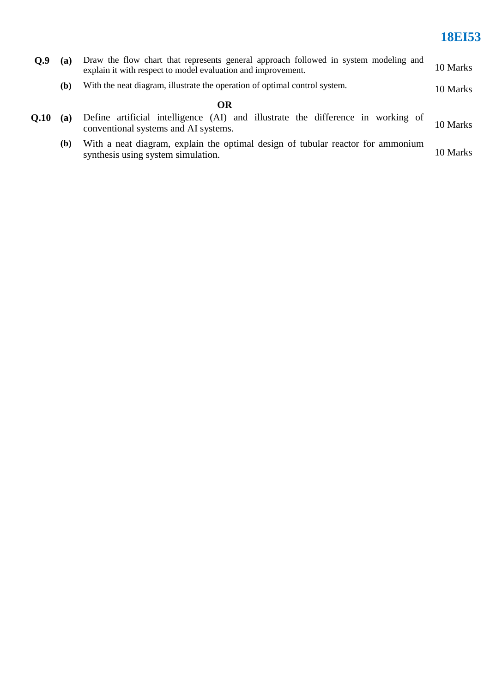## **18EI53**

| Q.9  | Draw the flow chart that represents general approach followed in system modeling and<br>(a)<br>explain it with respect to model evaluation and improvement. |                                                                                                                         |          |  |
|------|-------------------------------------------------------------------------------------------------------------------------------------------------------------|-------------------------------------------------------------------------------------------------------------------------|----------|--|
|      | (b)                                                                                                                                                         | With the neat diagram, illustrate the operation of optimal control system.                                              | 10 Marks |  |
|      |                                                                                                                                                             | OR                                                                                                                      |          |  |
| 0.10 | (a)                                                                                                                                                         | Define artificial intelligence (AI) and illustrate the difference in working of<br>conventional systems and AI systems. | 10 Marks |  |
|      | <b>(b)</b>                                                                                                                                                  | With a neat diagram, explain the optimal design of tubular reactor for ammonium<br>synthesis using system simulation.   | 10 Marks |  |
|      |                                                                                                                                                             |                                                                                                                         |          |  |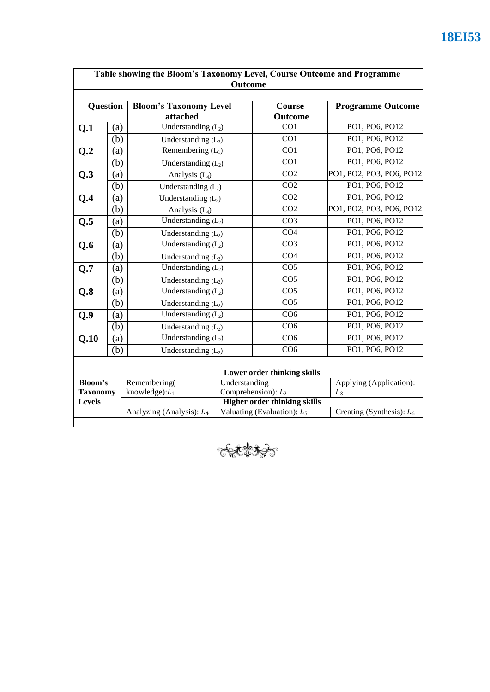|                                                    |                   |                                                                       |                       | <b>Outcome</b>                      |                             |  |
|----------------------------------------------------|-------------------|-----------------------------------------------------------------------|-----------------------|-------------------------------------|-----------------------------|--|
| <b>Question</b>                                    |                   | <b>Bloom's Taxonomy Level</b><br>attached                             |                       | Course<br>Outcome                   | <b>Programme Outcome</b>    |  |
| Q.1                                                | (a)               | Understanding $(L_2)$                                                 |                       | CO1                                 | PO1, PO6, PO12              |  |
|                                                    | (b)               | Understanding $(L_2)$                                                 |                       | CO1                                 | PO1, PO6, PO12              |  |
| Q.2                                                | (a)               | Remembering $(L_1)$                                                   |                       | $\overline{CO1}$                    | PO1, PO6, PO12              |  |
|                                                    | (b)               | Understanding $(L_2)$                                                 |                       | $\overline{CO1}$                    | PO1, PO6, PO12              |  |
| Q.3                                                | (a)               | Analysis $(L_4)$                                                      |                       | $\overline{CO2}$                    | PO1, PO2, PO3, PO6, PO12    |  |
|                                                    | (b)               |                                                                       | Understanding $(L_2)$ |                                     | PO1, PO6, PO12              |  |
| Q.4                                                | (a)               | Understanding $(L_2)$                                                 |                       | CO <sub>2</sub>                     | PO1, PO6, PO12              |  |
|                                                    | (b)               | Analysis $(L_4)$                                                      |                       | CO <sub>2</sub>                     | PO1, PO2, PO3, PO6, PO12    |  |
| Q.5                                                | (a)               | Understanding $(L_2)$                                                 |                       | CO <sub>3</sub>                     | PO1, PO6, PO12              |  |
| (b)                                                |                   | Understanding $(L_2)$                                                 |                       | CO <sub>4</sub>                     | PO1, PO6, PO12              |  |
| Q.6                                                | $\left( a\right)$ | Understanding $(L_2)$                                                 |                       | CO <sub>3</sub>                     | PO1, PO6, PO12              |  |
|                                                    | (b)               | Understanding $(L_2)$                                                 |                       | CO <sub>4</sub>                     | PO1, PO6, PO12              |  |
| Q.7                                                | (a)               | Understanding $(L_2)$                                                 |                       | CO <sub>5</sub>                     | PO1, PO6, PO12              |  |
|                                                    | (b)               | Understanding $(L_2)$                                                 |                       | CO <sub>5</sub>                     | PO1, PO6, PO12              |  |
| Q.8                                                | (a)               | Understanding $(L_2)$                                                 |                       | CO <sub>5</sub>                     | PO1, PO6, PO12              |  |
|                                                    | (b)               | Understanding $(L_2)$                                                 |                       | $\overline{CO5}$                    | PO1, PO6, PO12              |  |
| Q.9                                                | (a)               | Understanding $(L_2)$                                                 |                       | CO6                                 | PO1, PO6, PO12              |  |
|                                                    | (b)               | Understanding $(L_2)$                                                 |                       | CO <sub>6</sub>                     | PO1, PO6, PO12              |  |
| Q.10                                               | (a)               | Understanding $(L_2)$                                                 |                       | CO <sub>6</sub>                     | PO1, PO6, PO12              |  |
|                                                    | (b)               | Understanding $(L_2)$                                                 |                       | CO6                                 | PO1, PO6, PO12              |  |
|                                                    |                   |                                                                       |                       |                                     |                             |  |
| <b>Bloom's</b><br><b>Taxonomy</b><br><b>Levels</b> |                   |                                                                       |                       | Lower order thinking skills         |                             |  |
|                                                    |                   | Remembering(<br>Understanding                                         |                       |                                     | Applying (Application):     |  |
|                                                    |                   | knowledge): $L_1$<br>Comprehension): $L_2$                            |                       | <b>Higher order thinking skills</b> | $L_3$                       |  |
|                                                    |                   | Analyzing (Analysis): L <sub>4</sub><br>Valuating (Evaluation): $L_5$ |                       |                                     | Creating (Synthesis): $L_6$ |  |

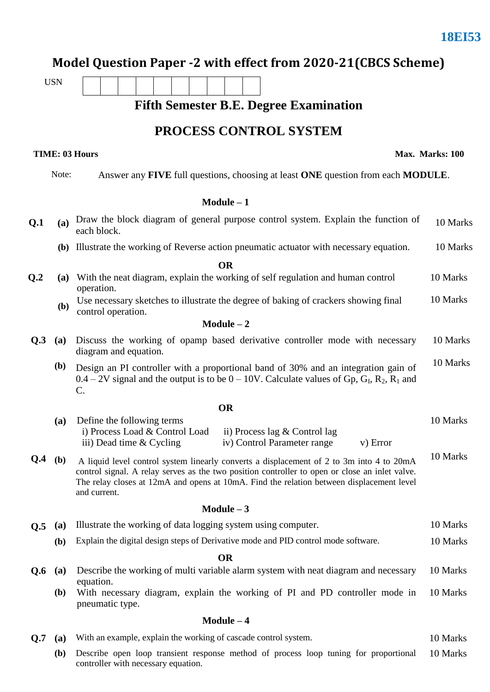**Max. Marks: 100**

## **Model Question Paper -2 with effect from 2020-21(CBCS Scheme)**

USN

**TIME: 03 Hours** 

**Fifth Semester B.E. Degree Examination**

#### **PROCESS CONTROL SYSTEM**

|                 | Note:                                                                                                                                                                                                                                        | Answer any FIVE full questions, choosing at least ONE question from each MODULE.                                                                                                                                                                                                                       |                                                                                                                                                                                                                                                             |  |  |  |
|-----------------|----------------------------------------------------------------------------------------------------------------------------------------------------------------------------------------------------------------------------------------------|--------------------------------------------------------------------------------------------------------------------------------------------------------------------------------------------------------------------------------------------------------------------------------------------------------|-------------------------------------------------------------------------------------------------------------------------------------------------------------------------------------------------------------------------------------------------------------|--|--|--|
|                 |                                                                                                                                                                                                                                              | Module $-1$                                                                                                                                                                                                                                                                                            |                                                                                                                                                                                                                                                             |  |  |  |
| Q <sub>1</sub>  | <b>(a)</b>                                                                                                                                                                                                                                   | Draw the block diagram of general purpose control system. Explain the function of<br>each block.                                                                                                                                                                                                       | 10 Marks                                                                                                                                                                                                                                                    |  |  |  |
|                 | (b) Illustrate the working of Reverse action pneumatic actuator with necessary equation.                                                                                                                                                     |                                                                                                                                                                                                                                                                                                        |                                                                                                                                                                                                                                                             |  |  |  |
|                 |                                                                                                                                                                                                                                              | <b>OR</b>                                                                                                                                                                                                                                                                                              |                                                                                                                                                                                                                                                             |  |  |  |
| Q <sub>.2</sub> |                                                                                                                                                                                                                                              | (a) With the neat diagram, explain the working of self regulation and human control<br>operation.                                                                                                                                                                                                      | 10 Marks                                                                                                                                                                                                                                                    |  |  |  |
|                 | Use necessary sketches to illustrate the degree of baking of crackers showing final<br>(b)<br>control operation.                                                                                                                             |                                                                                                                                                                                                                                                                                                        |                                                                                                                                                                                                                                                             |  |  |  |
|                 |                                                                                                                                                                                                                                              | $Module - 2$                                                                                                                                                                                                                                                                                           | 10 Marks<br>10 Marks<br>10 Marks<br>10 Marks<br><b>OR</b><br>10 Marks<br>ii) Process lag $&$ Control lag<br>iv) Control Parameter range<br>v) Error<br>10 Marks<br>Module $-3$<br>10 Marks<br>10 Marks<br><b>OR</b><br>10 Marks<br>10 Marks<br>$Module - 4$ |  |  |  |
| Q.3             | (a)                                                                                                                                                                                                                                          | Discuss the working of opamp based derivative controller mode with necessary<br>diagram and equation.                                                                                                                                                                                                  |                                                                                                                                                                                                                                                             |  |  |  |
|                 | <b>(b)</b><br>Design an PI controller with a proportional band of 30% and an integration gain of<br>$0.4 - 2V$ signal and the output is to be $0 - 10V$ . Calculate values of Gp, G <sub>I</sub> , R <sub>2</sub> , R <sub>1</sub> and<br>C. |                                                                                                                                                                                                                                                                                                        |                                                                                                                                                                                                                                                             |  |  |  |
|                 |                                                                                                                                                                                                                                              |                                                                                                                                                                                                                                                                                                        |                                                                                                                                                                                                                                                             |  |  |  |
|                 | (a)                                                                                                                                                                                                                                          | Define the following terms<br>i) Process Load & Control Load<br>iii) Dead time & Cycling                                                                                                                                                                                                               |                                                                                                                                                                                                                                                             |  |  |  |
| Q.4             | ( <b>b</b> )                                                                                                                                                                                                                                 | A liquid level control system linearly converts a displacement of 2 to 3m into 4 to 20mA<br>control signal. A relay serves as the two position controller to open or close an inlet valve.<br>The relay closes at 12mA and opens at 10mA. Find the relation between displacement level<br>and current. |                                                                                                                                                                                                                                                             |  |  |  |
|                 |                                                                                                                                                                                                                                              |                                                                                                                                                                                                                                                                                                        |                                                                                                                                                                                                                                                             |  |  |  |
| Q.5             | (a)                                                                                                                                                                                                                                          | Illustrate the working of data logging system using computer.                                                                                                                                                                                                                                          |                                                                                                                                                                                                                                                             |  |  |  |
|                 | (b)                                                                                                                                                                                                                                          | Explain the digital design steps of Derivative mode and PID control mode software.                                                                                                                                                                                                                     |                                                                                                                                                                                                                                                             |  |  |  |
|                 |                                                                                                                                                                                                                                              |                                                                                                                                                                                                                                                                                                        |                                                                                                                                                                                                                                                             |  |  |  |
| Q.6             | (a)                                                                                                                                                                                                                                          | Describe the working of multi variable alarm system with neat diagram and necessary<br>equation.                                                                                                                                                                                                       |                                                                                                                                                                                                                                                             |  |  |  |
|                 | <b>(b)</b>                                                                                                                                                                                                                                   | With necessary diagram, explain the working of PI and PD controller mode in<br>pneumatic type.                                                                                                                                                                                                         |                                                                                                                                                                                                                                                             |  |  |  |
|                 |                                                                                                                                                                                                                                              |                                                                                                                                                                                                                                                                                                        |                                                                                                                                                                                                                                                             |  |  |  |

- **Q.7** (a) With an example, explain the working of cascade control system. 10 Marks
	- **(b)** Describe open loop transient response method of process loop tuning for proportional controller with necessary equation. 10 Marks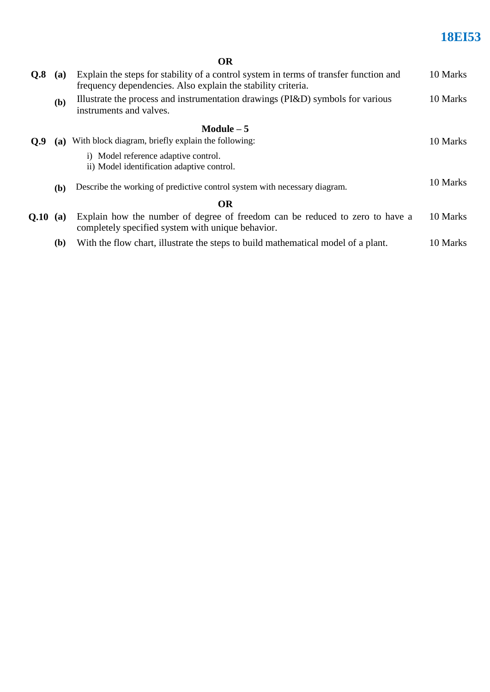# **18EI53**

| ×<br>I<br>. .<br>v |  |
|--------------------|--|
|--------------------|--|

| Q.8        | (a)          | Explain the steps for stability of a control system in terms of transfer function and<br>frequency dependencies. Also explain the stability criteria. | 10 Marks |
|------------|--------------|-------------------------------------------------------------------------------------------------------------------------------------------------------|----------|
|            | (b)          | Illustrate the process and instrumentation drawings (PI&D) symbols for various<br>instruments and valves.                                             | 10 Marks |
|            |              | Module $-5$                                                                                                                                           |          |
| O.9        | (a)          | With block diagram, briefly explain the following:                                                                                                    | 10 Marks |
|            |              | i) Model reference adaptive control.<br>ii) Model identification adaptive control.                                                                    |          |
|            | ( <b>b</b> ) | Describe the working of predictive control system with necessary diagram.                                                                             | 10 Marks |
|            |              | <b>OR</b>                                                                                                                                             |          |
| $0.10$ (a) |              | Explain how the number of degree of freedom can be reduced to zero to have a<br>completely specified system with unique behavior.                     | 10 Marks |
|            | (b)          | With the flow chart, illustrate the steps to build mathematical model of a plant.                                                                     | 10 Marks |